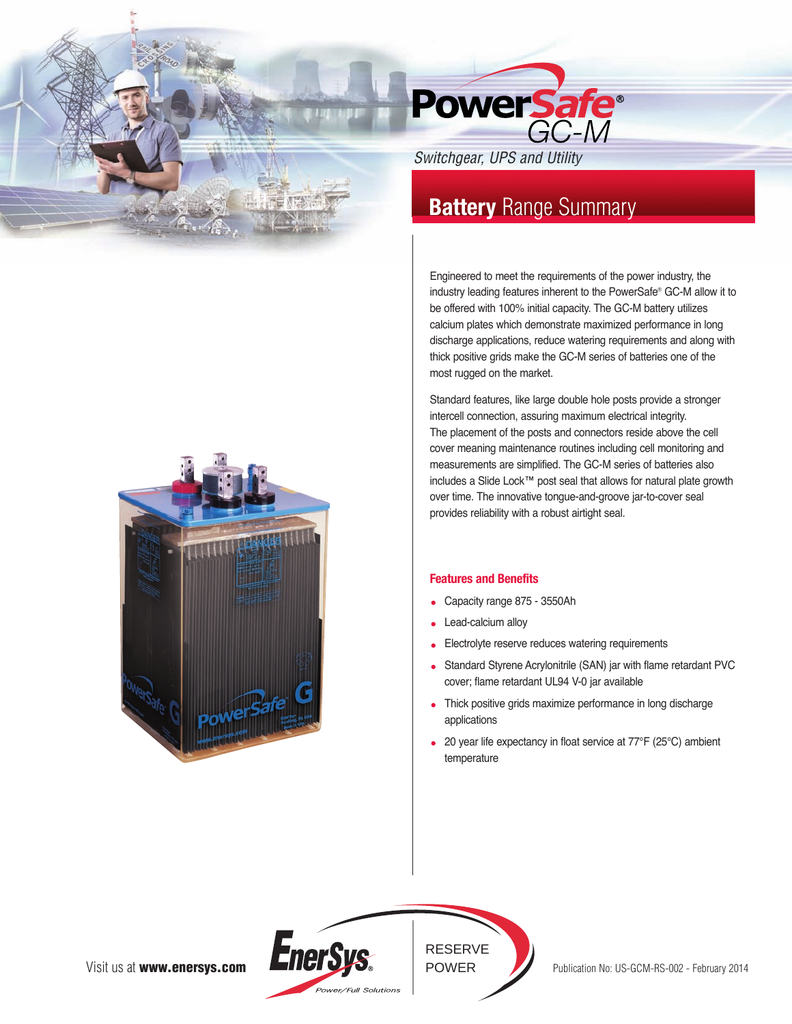

*Switchgear, UPS and Utility*

## **Battery** Range Summary

Engineered to meet the requirements of the power industry, the industry leading features inherent to the PowerSafe® GC-M allow it to be offered with 100% initial capacity. The GC-M battery utilizes calcium plates which demonstrate maximized performance in long discharge applications, reduce watering requirements and along with thick positive grids make the GC-M series of batteries one of the most rugged on the market.

Standard features, like large double hole posts provide a stronger intercell connection, assuring maximum electrical integrity. The placement of the posts and connectors reside above the cell cover meaning maintenance routines including cell monitoring and measurements are simplified. The GC-M series of batteries also includes a Slide Lock™ post seal that allows for natural plate growth over time. The innovative tongue-and-groove jar-to-cover seal provides reliability with a robust airtight seal.

## **Features and Benefits**

- Capacity range 875 3550Ah
- Lead-calcium alloy
- Electrolyte reserve reduces watering requirements
- Standard Styrene Acrylonitrile (SAN) jar with flame retardant PVC cover; flame retardant UL94 V-0 jar available
- Thick positive grids maximize performance in long discharge applications
- 20 year life expectancy in float service at 77°F (25°C) ambient temperature